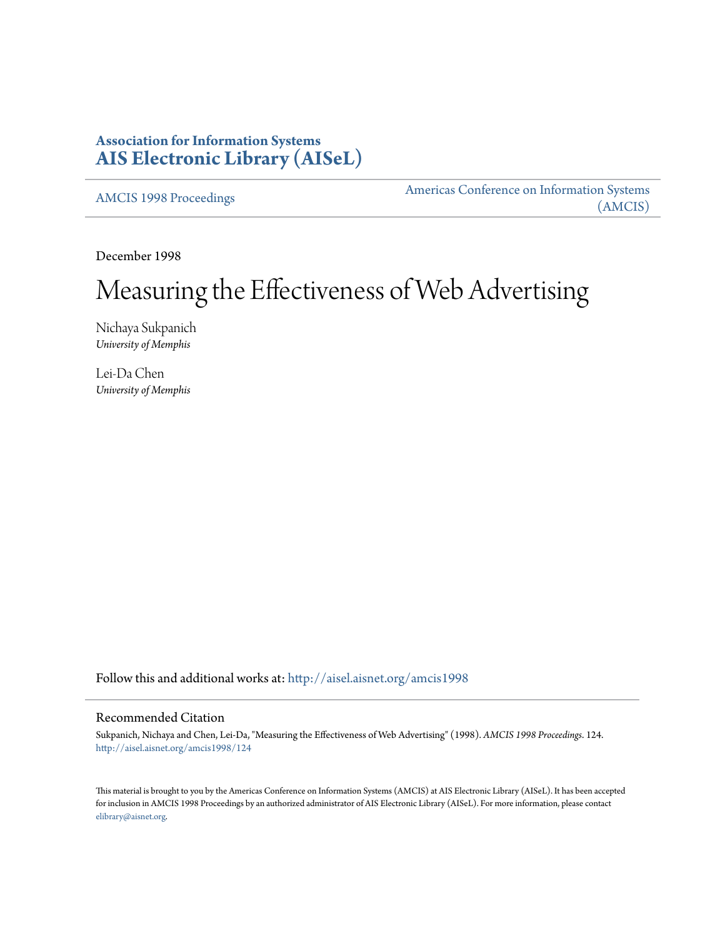# **Association for Information Systems [AIS Electronic Library \(AISeL\)](http://aisel.aisnet.org?utm_source=aisel.aisnet.org%2Famcis1998%2F124&utm_medium=PDF&utm_campaign=PDFCoverPages)**

[AMCIS 1998 Proceedings](http://aisel.aisnet.org/amcis1998?utm_source=aisel.aisnet.org%2Famcis1998%2F124&utm_medium=PDF&utm_campaign=PDFCoverPages)

[Americas Conference on Information Systems](http://aisel.aisnet.org/amcis?utm_source=aisel.aisnet.org%2Famcis1998%2F124&utm_medium=PDF&utm_campaign=PDFCoverPages) [\(AMCIS\)](http://aisel.aisnet.org/amcis?utm_source=aisel.aisnet.org%2Famcis1998%2F124&utm_medium=PDF&utm_campaign=PDFCoverPages)

December 1998

# Measuring the Effectiveness of Web Advertising

Nichaya Sukpanich *University of Memphis*

Lei-Da Chen *University of Memphis*

Follow this and additional works at: [http://aisel.aisnet.org/amcis1998](http://aisel.aisnet.org/amcis1998?utm_source=aisel.aisnet.org%2Famcis1998%2F124&utm_medium=PDF&utm_campaign=PDFCoverPages)

# Recommended Citation

Sukpanich, Nichaya and Chen, Lei-Da, "Measuring the Effectiveness of Web Advertising" (1998). *AMCIS 1998 Proceedings*. 124. [http://aisel.aisnet.org/amcis1998/124](http://aisel.aisnet.org/amcis1998/124?utm_source=aisel.aisnet.org%2Famcis1998%2F124&utm_medium=PDF&utm_campaign=PDFCoverPages)

This material is brought to you by the Americas Conference on Information Systems (AMCIS) at AIS Electronic Library (AISeL). It has been accepted for inclusion in AMCIS 1998 Proceedings by an authorized administrator of AIS Electronic Library (AISeL). For more information, please contact [elibrary@aisnet.org.](mailto:elibrary@aisnet.org%3E)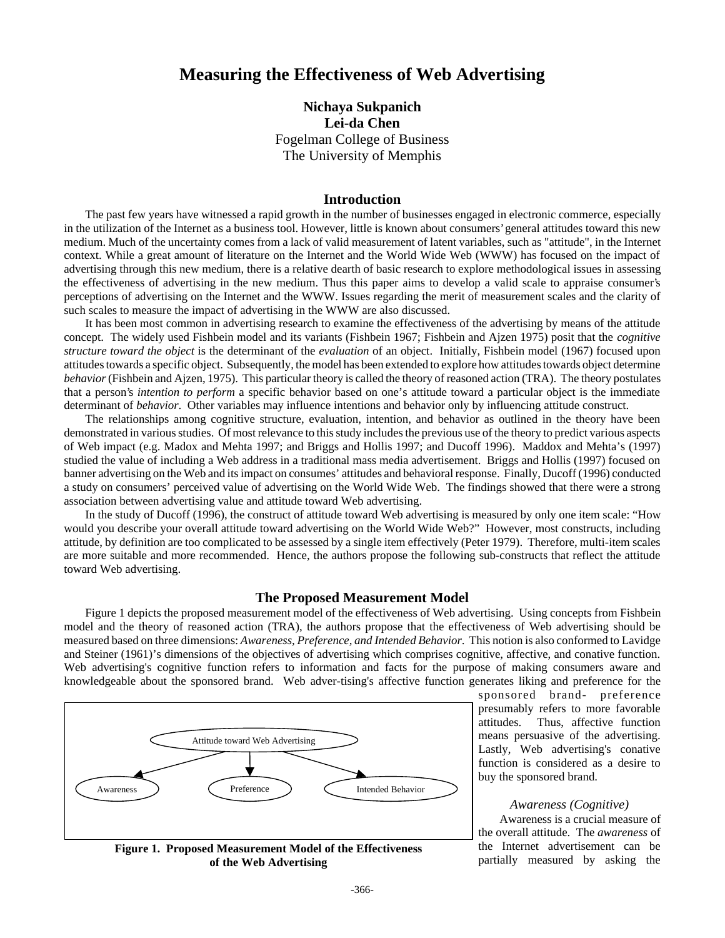# **Measuring the Effectiveness of Web Advertising**

# **Nichaya Sukpanich Lei-da Chen** Fogelman College of Business The University of Memphis

#### **Introduction**

The past few years have witnessed a rapid growth in the number of businesses engaged in electronic commerce, especially in the utilization of the Internet as a business tool. However, little is known about consumers' general attitudes toward this new medium. Much of the uncertainty comes from a lack of valid measurement of latent variables, such as "attitude", in the Internet context. While a great amount of literature on the Internet and the World Wide Web (WWW) has focused on the impact of advertising through this new medium, there is a relative dearth of basic research to explore methodological issues in assessing the effectiveness of advertising in the new medium. Thus this paper aims to develop a valid scale to appraise consumer's perceptions of advertising on the Internet and the WWW. Issues regarding the merit of measurement scales and the clarity of such scales to measure the impact of advertising in the WWW are also discussed.

It has been most common in advertising research to examine the effectiveness of the advertising by means of the attitude concept. The widely used Fishbein model and its variants (Fishbein 1967; Fishbein and Ajzen 1975) posit that the *cognitive structure toward the object* is the determinant of the *evaluation* of an object. Initially, Fishbein model (1967) focused upon attitudes towards a specific object. Subsequently, the model has been extended to explore how attitudes towards object determine *behavior* (Fishbein and Ajzen, 1975). This particular theory is called the theory of reasoned action (TRA). The theory postulates that a person's *intention to perform* a specific behavior based on one's attitude toward a particular object is the immediate determinant of *behavior*. Other variables may influence intentions and behavior only by influencing attitude construct.

The relationships among cognitive structure, evaluation, intention, and behavior as outlined in the theory have been demonstrated in various studies. Of most relevance to this study includes the previous use of the theory to predict various aspects of Web impact (e.g. Madox and Mehta 1997; and Briggs and Hollis 1997; and Ducoff 1996). Maddox and Mehta's (1997) studied the value of including a Web address in a traditional mass media advertisement. Briggs and Hollis (1997) focused on banner advertising on the Web and its impact on consumes' attitudes and behavioral response. Finally, Ducoff (1996) conducted a study on consumers' perceived value of advertising on the World Wide Web. The findings showed that there were a strong association between advertising value and attitude toward Web advertising.

In the study of Ducoff (1996), the construct of attitude toward Web advertising is measured by only one item scale: "How would you describe your overall attitude toward advertising on the World Wide Web?" However, most constructs, including attitude, by definition are too complicated to be assessed by a single item effectively (Peter 1979). Therefore, multi-item scales are more suitable and more recommended. Hence, the authors propose the following sub-constructs that reflect the attitude toward Web advertising.

#### **The Proposed Measurement Model**

Figure 1 depicts the proposed measurement model of the effectiveness of Web advertising. Using concepts from Fishbein model and the theory of reasoned action (TRA), the authors propose that the effectiveness of Web advertising should be measured based on three dimensions: *Awareness, Preference, and Intended Behavior*. This notion is also conformed to Lavidge and Steiner (1961)'s dimensions of the objectives of advertising which comprises cognitive, affective, and conative function. Web advertising's cognitive function refers to information and facts for the purpose of making consumers aware and knowledgeable about the sponsored brand. Web adver-tising's affective function generates liking and preference for the



sponsored brand- preference presumably refers to more favorable attitudes. Thus, affective function means persuasive of the advertising. Lastly, Web advertising's conative function is considered as a desire to buy the sponsored brand.

#### *Awareness (Cognitive)*

Awareness is a crucial measure of the overall attitude. The *awareness* of the Internet advertisement can be partially measured by asking the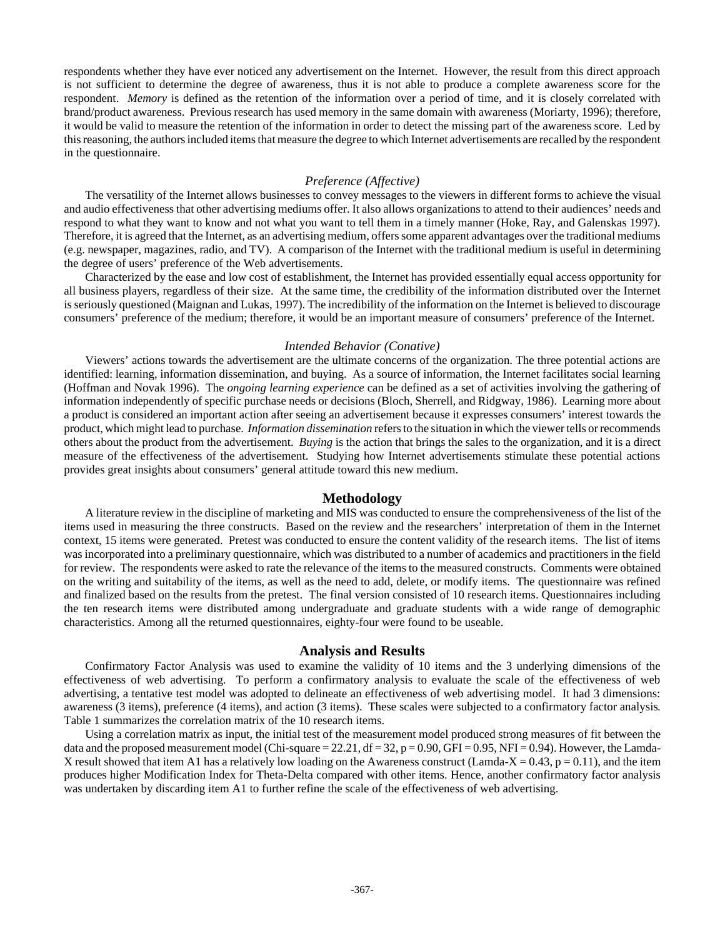respondents whether they have ever noticed any advertisement on the Internet. However, the result from this direct approach is not sufficient to determine the degree of awareness, thus it is not able to produce a complete awareness score for the respondent. *Memory* is defined as the retention of the information over a period of time, and it is closely correlated with brand/product awareness. Previous research has used memory in the same domain with awareness (Moriarty, 1996); therefore, it would be valid to measure the retention of the information in order to detect the missing part of the awareness score. Led by this reasoning, the authors included items that measure the degree to which Internet advertisements are recalled by the respondent in the questionnaire.

## *Preference (Affective)*

The versatility of the Internet allows businesses to convey messages to the viewers in different forms to achieve the visual and audio effectiveness that other advertising mediums offer. It also allows organizations to attend to their audiences' needs and respond to what they want to know and not what you want to tell them in a timely manner (Hoke, Ray, and Galenskas 1997). Therefore, it is agreed that the Internet, as an advertising medium, offers some apparent advantages over the traditional mediums (e.g. newspaper, magazines, radio, and TV). A comparison of the Internet with the traditional medium is useful in determining the degree of users' preference of the Web advertisements.

Characterized by the ease and low cost of establishment, the Internet has provided essentially equal access opportunity for all business players, regardless of their size. At the same time, the credibility of the information distributed over the Internet is seriously questioned (Maignan and Lukas, 1997). The incredibility of the information on the Internet is believed to discourage consumers' preference of the medium; therefore, it would be an important measure of consumers' preference of the Internet.

#### *Intended Behavior (Conative)*

Viewers' actions towards the advertisement are the ultimate concerns of the organization. The three potential actions are identified: learning, information dissemination, and buying. As a source of information, the Internet facilitates social learning (Hoffman and Novak 1996). The *ongoing learning experience* can be defined as a set of activities involving the gathering of information independently of specific purchase needs or decisions (Bloch, Sherrell, and Ridgway, 1986). Learning more about a product is considered an important action after seeing an advertisement because it expresses consumers' interest towards the product, which might lead to purchase. *Information dissemination* refers to the situation in which the viewer tells or recommends others about the product from the advertisement. *Buying* is the action that brings the sales to the organization, and it is a direct measure of the effectiveness of the advertisement. Studying how Internet advertisements stimulate these potential actions provides great insights about consumers' general attitude toward this new medium.

## **Methodology**

A literature review in the discipline of marketing and MIS was conducted to ensure the comprehensiveness of the list of the items used in measuring the three constructs. Based on the review and the researchers' interpretation of them in the Internet context, 15 items were generated. Pretest was conducted to ensure the content validity of the research items. The list of items was incorporated into a preliminary questionnaire, which was distributed to a number of academics and practitioners in the field for review. The respondents were asked to rate the relevance of the items to the measured constructs. Comments were obtained on the writing and suitability of the items, as well as the need to add, delete, or modify items. The questionnaire was refined and finalized based on the results from the pretest. The final version consisted of 10 research items. Questionnaires including the ten research items were distributed among undergraduate and graduate students with a wide range of demographic characteristics. Among all the returned questionnaires, eighty-four were found to be useable.

## **Analysis and Results**

Confirmatory Factor Analysis was used to examine the validity of 10 items and the 3 underlying dimensions of the effectiveness of web advertising. To perform a confirmatory analysis to evaluate the scale of the effectiveness of web advertising, a tentative test model was adopted to delineate an effectiveness of web advertising model. It had 3 dimensions: awareness (3 items), preference (4 items), and action (3 items). These scales were subjected to a confirmatory factor analysis. Table 1 summarizes the correlation matrix of the 10 research items.

Using a correlation matrix as input, the initial test of the measurement model produced strong measures of fit between the data and the proposed measurement model (Chi-square = 22.21, df = 32, p = 0.90, GFI = 0.95, NFI = 0.94). However, the Lamda-X result showed that item A1 has a relatively low loading on the Awareness construct (Lamda-X =  $0.43$ , p =  $0.11$ ), and the item produces higher Modification Index for Theta-Delta compared with other items. Hence, another confirmatory factor analysis was undertaken by discarding item A1 to further refine the scale of the effectiveness of web advertising.